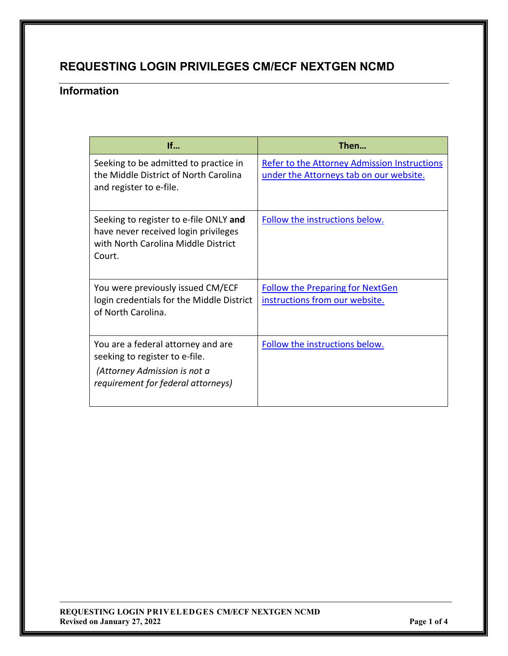# **REQUESTING LOGIN PRIVILEGES CM/ECF NEXTGEN NCMD**

## **Information**

| If                                                                                                                                         | Then                                                                                           |
|--------------------------------------------------------------------------------------------------------------------------------------------|------------------------------------------------------------------------------------------------|
| Seeking to be admitted to practice in<br>the Middle District of North Carolina<br>and register to e-file.                                  | <b>Refer to the Attorney Admission Instructions</b><br>under the Attorneys tab on our website. |
| Seeking to register to e-file ONLY and<br>have never received login privileges<br>with North Carolina Middle District<br>Court.            | Follow the instructions below.                                                                 |
| You were previously issued CM/ECF<br>login credentials for the Middle District<br>of North Carolina.                                       | <b>Follow the Preparing for NextGen</b><br>instructions from our website.                      |
| You are a federal attorney and are<br>seeking to register to e-file.<br>(Attorney Admission is not a<br>requirement for federal attorneys) | Follow the instructions below.                                                                 |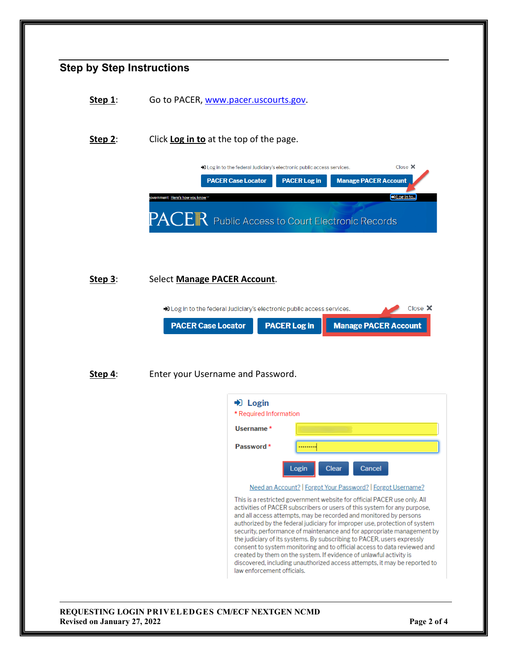<span id="page-1-0"></span>

| <b>REQUESTING LOGIN PRIVELEDGES CM/ECF NEXTGEN NCMD</b> |             |
|---------------------------------------------------------|-------------|
| <b>Revised on January 27, 2022</b>                      | Page 2 of 4 |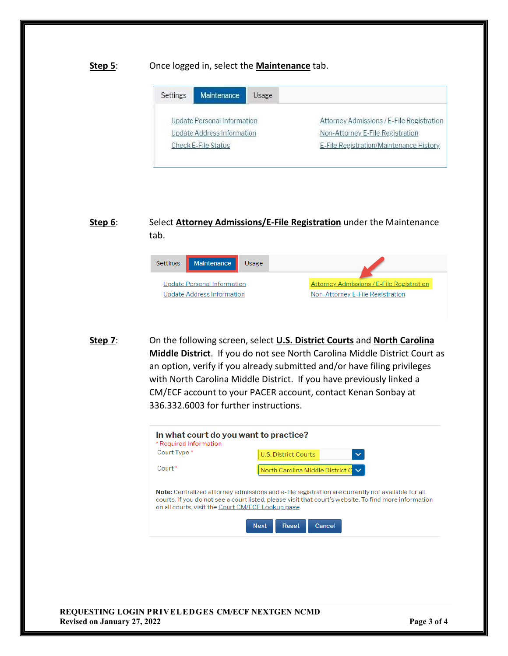#### **Step 5**: Once logged in, select the **Maintenance** tab.

| Settings | <b>Maintenance</b>          | Usage |                                           |
|----------|-----------------------------|-------|-------------------------------------------|
|          | Update Personal Information |       | Attorney Admissions / E-File Registration |
|          | Update Address Information  |       | Non-Attorney E-File Registration          |
|          | Check E-File Status         |       | E-File Registration/Maintenance History   |

### **Step 6**: Select **Attorney Admissions/E-File Registration** under the Maintenance tab.



**Step 7**: On the following screen, select **U.S. District Courts** and **North Carolina Middle District**. If you do not see North Carolina Middle District Court as an option, verify if you already submitted and/or have filing privileges with North Carolina Middle District. If you have previously linked a CM/ECF account to your PACER account, contact Kenan Sonbay at 336.332.6003 for further instructions.



#### **REQUESTING LOGIN PRIVELEDGES CM/ECF NEXTGEN NCMD Revised on January 27, 2022 Page 3 of 4**